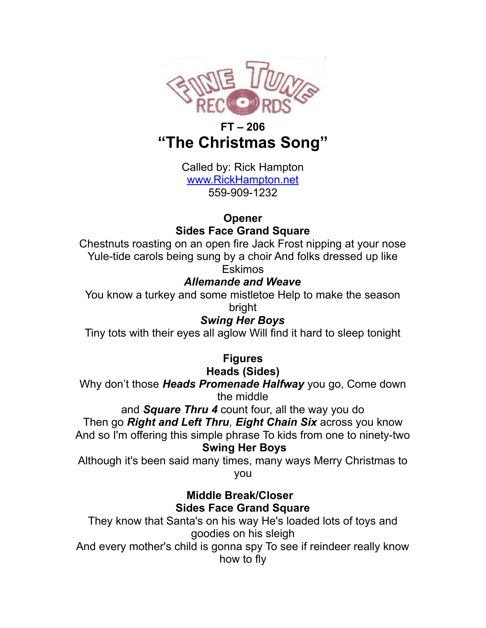

# **FT – 206 "The Christmas Song"**

Called by: Rick Hampton [www.RickHampton.net](http://www.RickHampton.net/) 559-909-1232

# **Opener**

### **Sides Face Grand Square**

Chestnuts roasting on an open fire Jack Frost nipping at your nose Yule-tide carols being sung by a choir And folks dressed up like Eskimos

# *Allemande and Weave*

You know a turkey and some mistletoe Help to make the season bright

### *Swing Her Boys*

Tiny tots with their eyes all aglow Will find it hard to sleep tonight

# **Figures**

**Heads (Sides)**

Why don't those *Heads Promenade Halfway* you go, Come down the middle

and *Square Thru 4* count four, all the way you do

#### Then go *Right and Left Thru, Eight Chain Six* across you know

And so I'm offering this simple phrase To kids from one to ninety-two  **Swing Her Boys**

Although it's been said many times, many ways Merry Christmas to you

#### **Middle Break/Closer Sides Face Grand Square**

They know that Santa's on his way He's loaded lots of toys and goodies on his sleigh And every mother's child is gonna spy To see if reindeer really know

how to fly